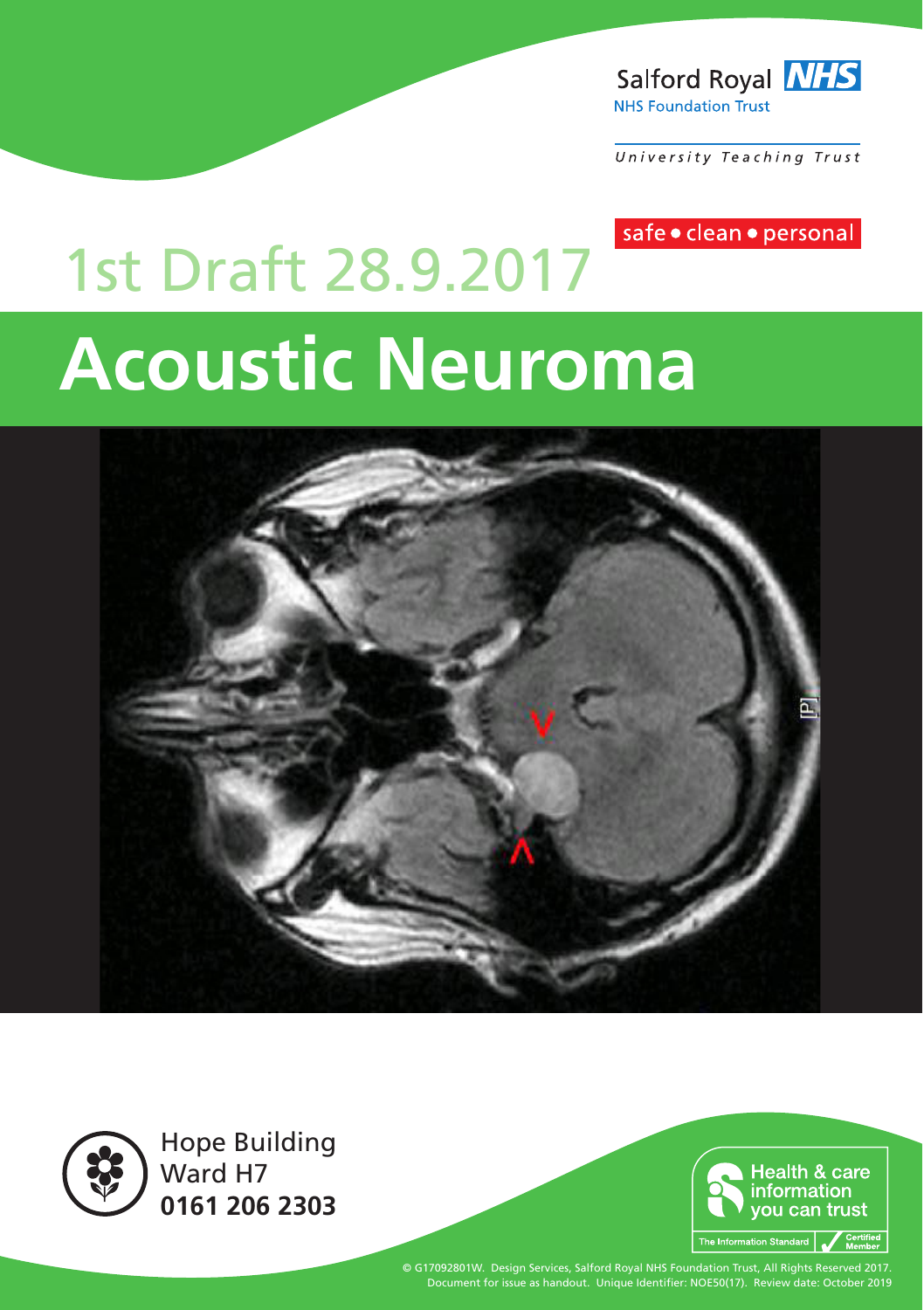

University Teaching Trust

safe · clean · personal

# **Acoustic Neuroma** 1st Draft 28.9.2017





Hope Building Ward H<sub>7</sub> **0161 206 2303**



© G17092801W. Design Services, Salford Royal NHS Foundation Trust, All Rights Reserved 2017. Document for issue as handout. Unique Identifier: NOE50(17). Review date: October 2019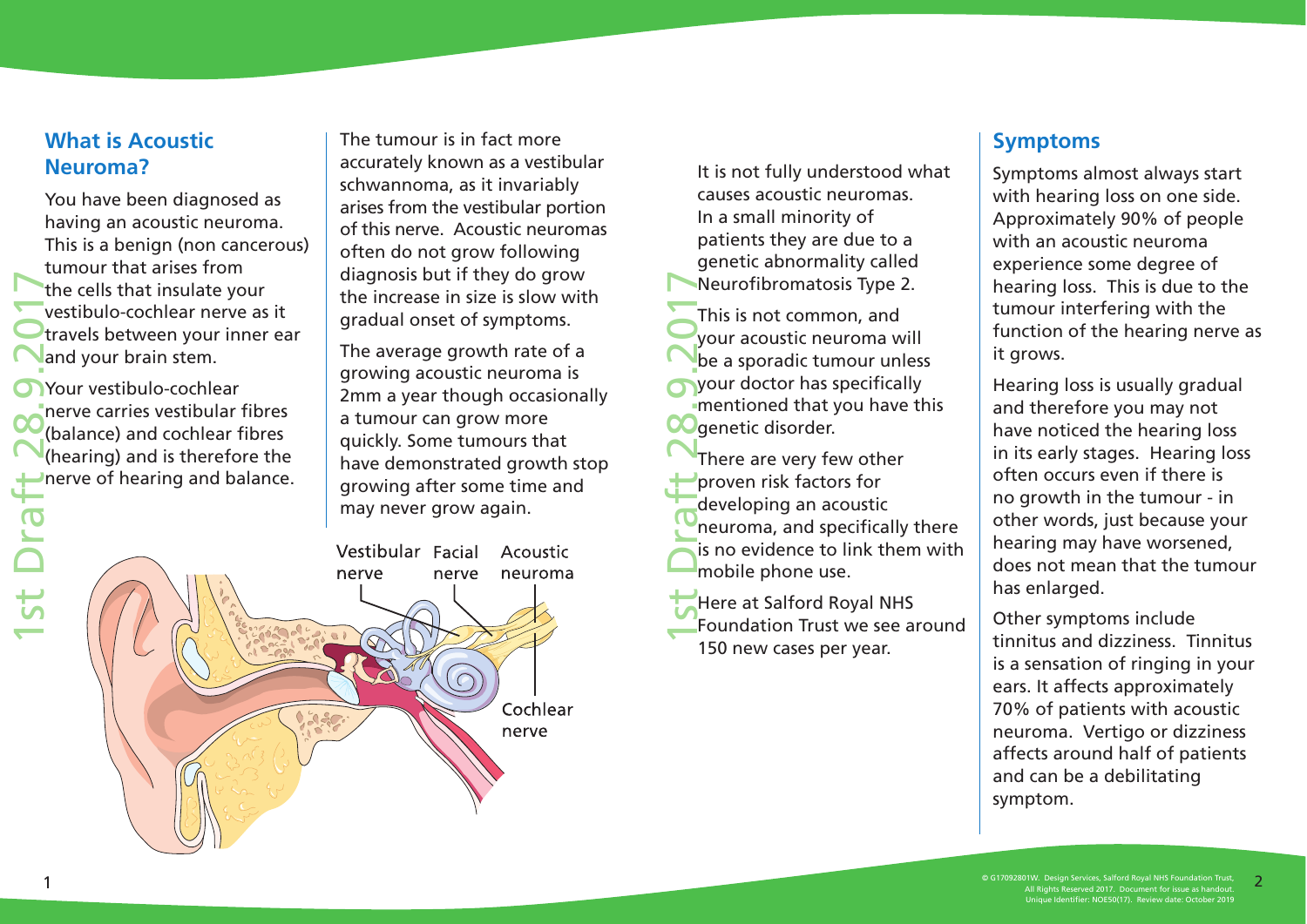#### **What is Acoustic Neuroma?**

You have been diagnosed as having an acoustic neuroma. This is a benign (non cancerous) tumour that arises from the cells that insulate your vestibulo-cochlear nerve as it travels between your inner ear and your brain stem.

1st Draft 28.9.2017 Your vestibulo-cochlear nerve carries vestibular fibres (balance) and cochlear fibres (hearing) and is therefore the nerve of hearing and balance. The tumour is in fact more accurately known as a vestibular schwannoma, as it invariably arises from the vestibular portion of this nerve. Acoustic neuromas often do not grow following diagnosis but if they do grow the increase in size is slow with gradual onset of symptoms.

The average growth rate of a growing acoustic neuroma is 2mm a year though occasionally a tumour can grow more quickly. Some tumours that have demonstrated growth stop growing after some time and may never grow again.

Vestibular Facial Acoustic neuroma nerve nerve Cochlear nerve

It is not fully understood what causes acoustic neuromas. In a small minority of patients they are due to a genetic abnormality called Neurofibromatosis Type 2.

1st Draft 28.9.2017 This is not common, and your acoustic neuroma will be a sporadic tumour unless your doctor has specifically mentioned that you have this **CO**genetic disorder.

There are very few other proven risk factors for developing an acoustic neuroma, and specifically there is no evidence to link them with mobile phone use.

Here at Salford Royal NHS Foundation Trust we see around 150 new cases per year.

#### **Symptoms**

Symptoms almost always start with hearing loss on one side. Approximately 90% of people with an acoustic neuroma experience some degree of hearing loss. This is due to the tumour interfering with the function of the hearing nerve as it grows.

Hearing loss is usually gradual and therefore you may not have noticed the hearing loss in its early stages. Hearing loss often occurs even if there is no growth in the tumour - in other words, just because your hearing may have worsened, does not mean that the tumour has enlarged.

Other symptoms include tinnitus and dizziness. Tinnitus is a sensation of ringing in your ears. It affects approximately 70% of patients with acoustic neuroma. Vertigo or dizziness affects around half of patients and can be a debilitating symptom.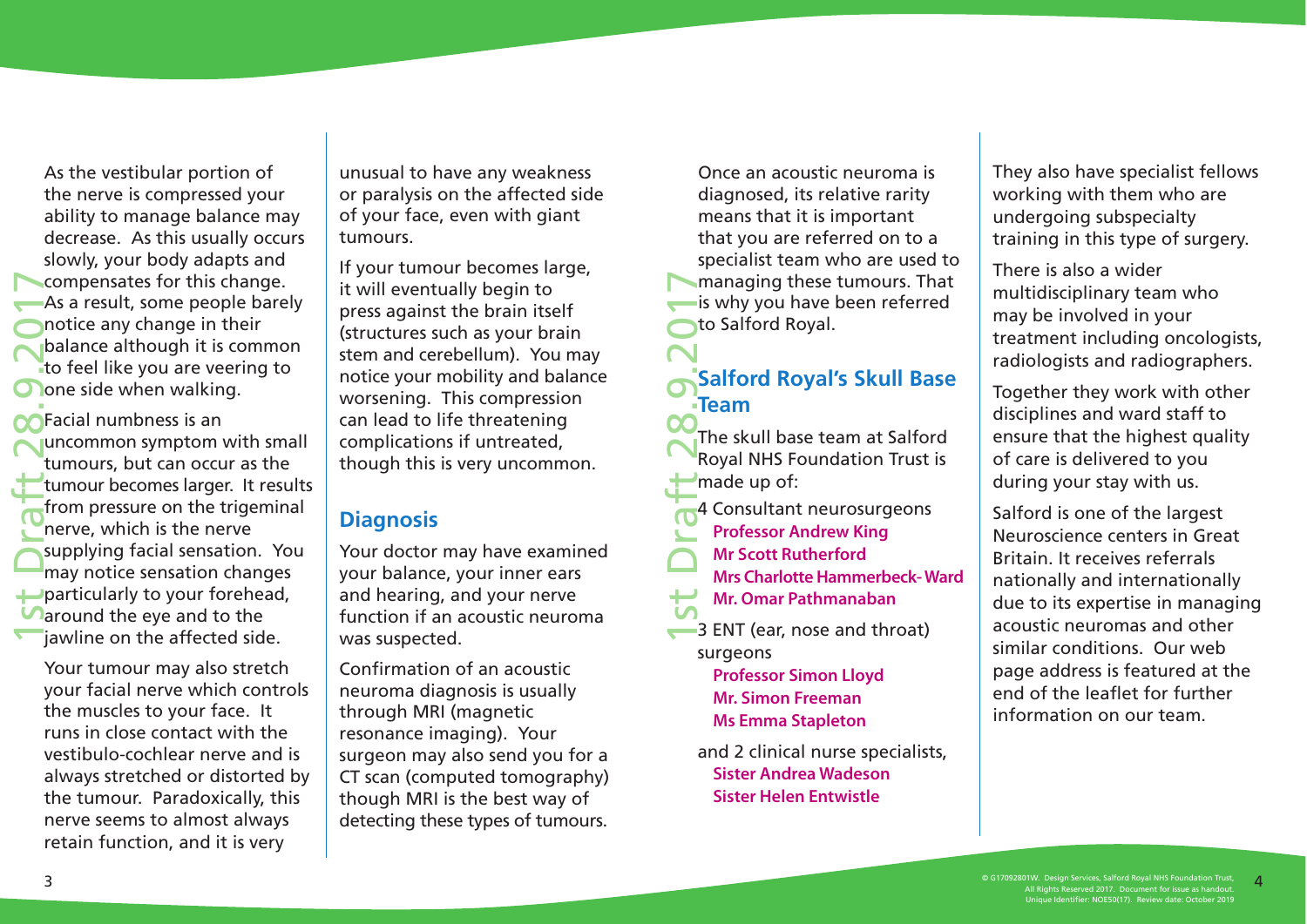As the vestibular portion of the nerve is compressed your ability to manage balance may decrease. As this usually occurs slowly, your body adapts and compensates for this change. As a result, some people barely notice any change in their balance although it is common to feel like you are veering to **O** one side when walking.

1st Draft 28.9.2017 **The Tangle 1 and Struck** Separate Separate Separate Separate Separate Separate Separate Separate Separate Separate Separate Separate Separate Separate Separate Separate Separate Separate Separate Separate Separate Separat uncommon symptom with small tumours, but can occur as the tumour becomes larger. It results from pressure on the trigeminal nerve, which is the nerve supplying facial sensation. You may notice sensation changes particularly to your forehead, **Paround the eve and to the** jawline on the affected side.

Your tumour may also stretch your facial nerve which controls the muscles to your face. It runs in close contact with the vestibulo-cochlear nerve and is always stretched or distorted by the tumour. Paradoxically, this nerve seems to almost always retain function, and it is very

unusual to have any weakness or paralysis on the affected side of your face, even with giant tumours.

If your tumour becomes large, it will eventually begin to press against the brain itself (structures such as your brain stem and cerebellum). You may notice your mobility and balance worsening. This compression can lead to life threatening complications if untreated, though this is very uncommon.

#### **Diagnosis**

Your doctor may have examined your balance, your inner ears and hearing, and your nerve function if an acoustic neuroma was suspected.

Confirmation of an acoustic neuroma diagnosis is usually through MRI (magnetic resonance imaging). Your surgeon may also send you for a CT scan (computed tomography) though MRI is the best way of detecting these types of tumours.

Once an acoustic neuroma is diagnosed, its relative rarity means that it is important that you are referred on to a specialist team who are used to managing these tumours. That is why you have been referred to Salford Royal.

### **Salford Royal's Skull Base Team**

1st Draft 28.9.2017 The skull base team at Salford Royal NHS Foundation Trust is made up of:

- 4 Consultant neurosurgeons  **Professor Andrew King**
- **Mr Scott Rutherford**
- 
- **Mrs Charlotte Hammerbeck- Ward**
- **Mr. Omar Pathmanaban**
- **3 ENT (ear, nose and throat)** surgeons

 **Professor Simon Lloyd Mr. Simon Freeman Ms Emma Stapleton** 

and 2 clinical nurse specialists, **Sister Andrea Wadeson Sister Helen Entwistle**

They also have specialist fellows working with them who are undergoing subspecialty training in this type of surgery.

There is also a wider multidisciplinary team who may be involved in your treatment including oncologists, radiologists and radiographers.

Together they work with other disciplines and ward staff to ensure that the highest quality of care is delivered to you during your stay with us.

Salford is one of the largest Neuroscience centers in Great Britain. It receives referrals nationally and internationally due to its expertise in managing acoustic neuromas and other similar conditions. Our web page address is featured at the end of the leaflet for further information on our team.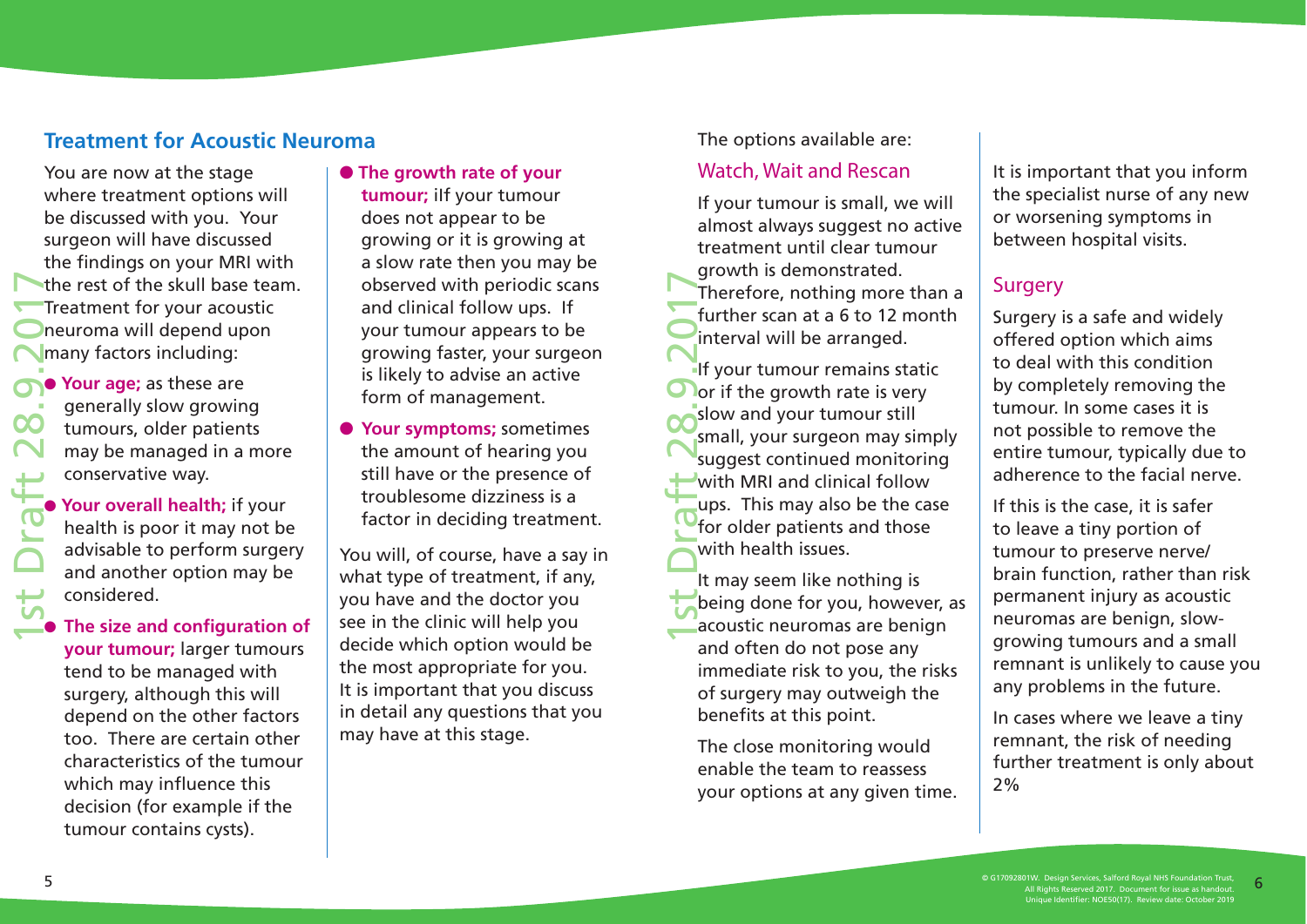#### **Treatment for Acoustic Neuroma**

You are now at the stage where treatment options will be discussed with you. Your surgeon will have discussed the findings on your MRI with the rest of the skull base team. Treatment for your acoustic neuroma will depend upon many factors including:

**O** Your age; as these are generally slow growing tumours, older patients may be managed in a more conservative way.

**O** Your overall health; if your health is poor it may not be advisable to perform surgery and another option may be considered.

O **The size and configuration of your tumour;** larger tumours tend to be managed with surgery, although this will depend on the other factors too. There are certain other characteristics of the tumour which may influence this decision (for example if the tumour contains cysts).

O **The growth rate of your tumour;** iIf your tumour does not appear to be growing or it is growing at a slow rate then you may be observed with periodic scans and clinical follow ups. If your tumour appears to be growing faster, your surgeon is likely to advise an active form of management.

O **Your symptoms;** sometimes the amount of hearing you still have or the presence of troublesome dizziness is a factor in deciding treatment.

You will, of course, have a say in what type of treatment, if any, you have and the doctor you see in the clinic will help you decide which option would be the most appropriate for you. It is important that you discuss in detail any questions that you may have at this stage.

The options available are:

#### Watch, Wait and Rescan

If your tumour is small, we will almost always suggest no active treatment until clear tumour growth is demonstrated. Therefore, nothing more than a further scan at a 6 to 12 month interval will be arranged.

1st Draft 28.9.2017 If your tumour remains static or if the growth rate is very slow and your tumour still small, your surgeon may simply suggest continued monitoring with MRI and clinical follow ups. This may also be the case for older patients and those with health issues.

It may seem like nothing is being done for you, however, as acoustic neuromas are benign and often do not pose any immediate risk to you, the risks of surgery may outweigh the benefits at this point.

The close monitoring would enable the team to reassess your options at any given time. It is important that you inform the specialist nurse of any new or worsening symptoms in between hospital visits.

#### **Surgery**

Surgery is a safe and widely offered option which aims to deal with this condition by completely removing the tumour. In some cases it is not possible to remove the entire tumour, typically due to adherence to the facial nerve.

If this is the case, it is safer to leave a tiny portion of tumour to preserve nerve/ brain function, rather than risk permanent injury as acoustic neuromas are benign, slowgrowing tumours and a small remnant is unlikely to cause you any problems in the future.

In cases where we leave a tiny remnant, the risk of needing further treatment is only about  $2%$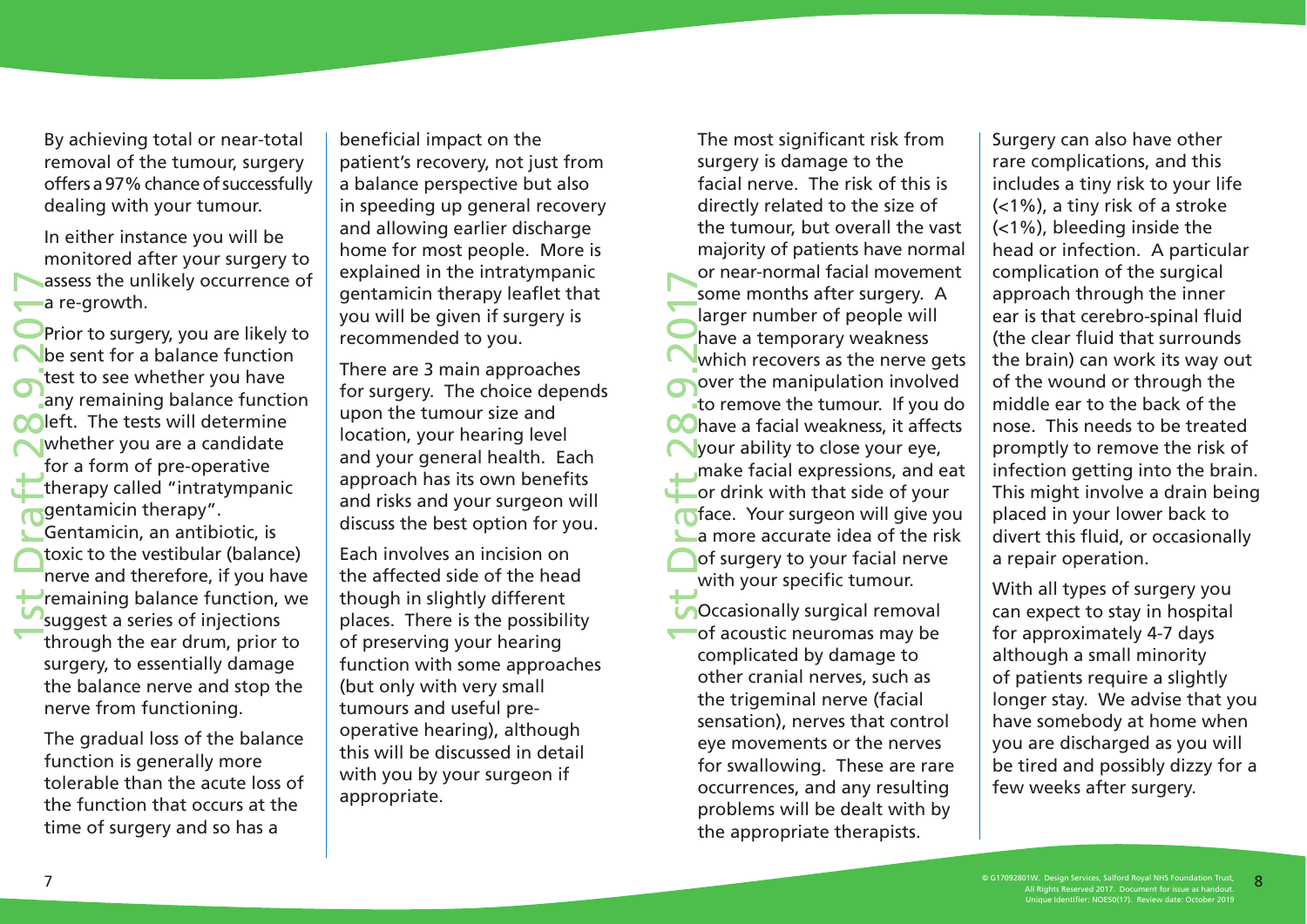By achieving total or near-total removal of the tumour, surgery offers a 97% chance of successfully dealing with your tumour.

In either instance you will be monitored after your surgery to assess the unlikely occurrence of a re-growth.

1st Draft 28.9.2017 Prior to surgery, you are likely to be sent for a balance function test to see whether you have any remaining balance function **Meft.** The tests will determine whether you are a candidate for a form of pre-operative therapy called "intratympanic gentamicin therapy". Gentamicin, an antibiotic, is toxic to the vestibular (balance)

nerve and therefore, if you have remaining balance function, we suggest a series of injections through the ear drum, prior to surgery, to essentially damage the balance nerve and stop the nerve from functioning.

The gradual loss of the balance function is generally more tolerable than the acute loss of the function that occurs at the time of surgery and so has a

beneficial impact on the patient's recovery, not just from a balance perspective but also in speeding up general recovery and allowing earlier discharge home for most people. More is explained in the intratympanic gentamicin therapy leaflet that you will be given if surgery is recommended to you.

There are 3 main approaches for surgery. The choice depends upon the tumour size and location, your hearing level and your general health. Each approach has its own benefits and risks and your surgeon will discuss the best option for you.

Each involves an incision on the affected side of the head though in slightly different places. There is the possibility of preserving your hearing function with some approaches (but only with very small tumours and useful preoperative hearing), although this will be discussed in detail with you by your surgeon if appropriate.

1st Draft 28.9.2017 The most significant risk from surgery is damage to the facial nerve. The risk of this is directly related to the size of the tumour, but overall the vast majority of patients have normal or near-normal facial movement some months after surgery. A larger number of people will have a temporary weakness which recovers as the nerve gets over the manipulation involved to remove the tumour. If you do **OC** have a facial weakness, it affects your ability to close your eye, make facial expressions, and eat or drink with that side of your **inface.** Your surgeon will give you a more accurate idea of the risk of surgery to your facial nerve with your specific tumour.

**Occasionally surgical removal** of acoustic neuromas may be complicated by damage to other cranial nerves, such as the trigeminal nerve (facial sensation), nerves that control eye movements or the nerves for swallowing. These are rare occurrences, and any resulting problems will be dealt with by the appropriate therapists.

Surgery can also have other rare complications, and this includes a tiny risk to your life (<1%), a tiny risk of a stroke (<1%), bleeding inside the head or infection. A particular complication of the surgical approach through the inner ear is that cerebro-spinal fluid (the clear fluid that surrounds the brain) can work its way out of the wound or through the middle ear to the back of the nose. This needs to be treated promptly to remove the risk of infection getting into the brain. This might involve a drain being placed in your lower back to divert this fluid, or occasionally a repair operation.

With all types of surgery you can expect to stay in hospital for approximately 4-7 days although a small minority of patients require a slightly longer stay. We advise that you have somebody at home when you are discharged as you will be tired and possibly dizzy for a few weeks after surgery.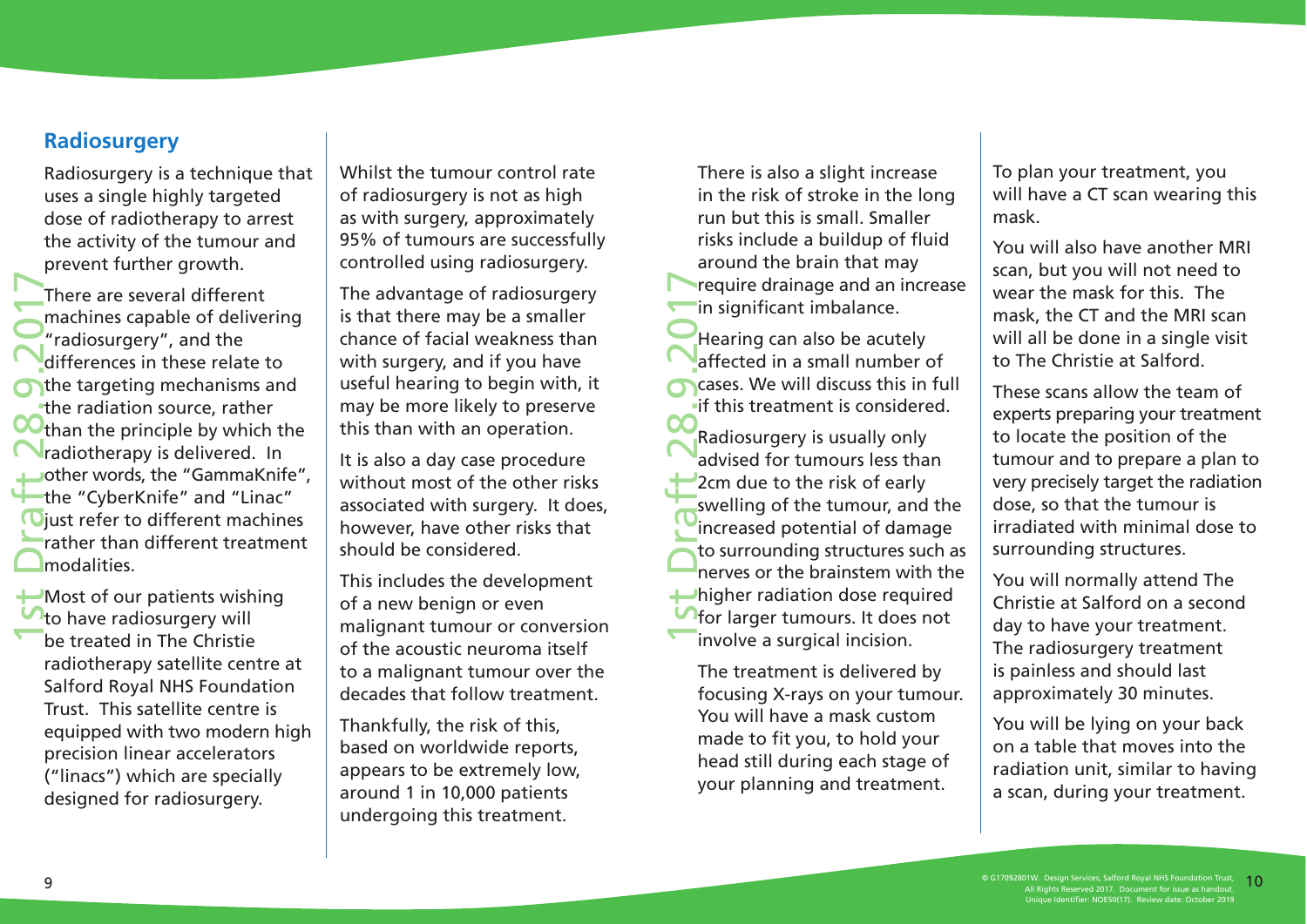#### **Radiosurgery**

Radiosurgery is a technique that uses a single highly targeted dose of radiotherapy to arrest the activity of the tumour and prevent further growth.

1st Draft 28.9.2017 There are several different machines capable of delivering "radiosurgery", and the differences in these relate to the targeting mechanisms and the radiation source, rather than the principle by which the radiotherapy is delivered. In other words, the "GammaKnife", the "CyberKnife" and "Linac" **D**iust refer to different machines rather than different treatment modalities.

Most of our patients wishing **to have radiosurgery will** be treated in The Christie radiotherapy satellite centre at Salford Royal NHS Foundation Trust. This satellite centre is equipped with two modern high precision linear accelerators ("linacs") which are specially designed for radiosurgery.

Whilst the tumour control rate of radiosurgery is not as high as with surgery, approximately 95% of tumours are successfully controlled using radiosurgery.

The advantage of radiosurgery is that there may be a smaller chance of facial weakness than with surgery, and if you have useful hearing to begin with, it may be more likely to preserve this than with an operation.

It is also a day case procedure without most of the other risks associated with surgery. It does, however, have other risks that should be considered.

This includes the development of a new benign or even malignant tumour or conversion of the acoustic neuroma itself to a malignant tumour over the decades that follow treatment.

Thankfully, the risk of this, based on worldwide reports, appears to be extremely low, around 1 in 10,000 patients undergoing this treatment.

There is also a slight increase in the risk of stroke in the long run but this is small. Smaller risks include a buildup of fluid around the brain that may require drainage and an increase in significant imbalance.

Hearing can also be acutely affected in a small number of cases. We will discuss this in full if this treatment is considered.

1st Draft 28.9.2017 Radiosurgery is usually only advised for tumours less than 2cm due to the risk of early swelling of the tumour, and the increased potential of damage to surrounding structures such as nerves or the brainstem with the higher radiation dose required for larger tumours. It does not involve a surgical incision.

The treatment is delivered by focusing X-rays on your tumour. You will have a mask custom made to fit you, to hold your head still during each stage of your planning and treatment.

To plan your treatment, you will have a CT scan wearing this mask.

You will also have another MRI scan, but you will not need to wear the mask for this. The mask, the CT and the MRI scan will all be done in a single visit to The Christie at Salford.

These scans allow the team of experts preparing your treatment to locate the position of the tumour and to prepare a plan to very precisely target the radiation dose, so that the tumour is irradiated with minimal dose to surrounding structures.

You will normally attend The Christie at Salford on a second day to have your treatment. The radiosurgery treatment is painless and should last approximately 30 minutes.

You will be lying on your back on a table that moves into the radiation unit, similar to having a scan, during your treatment.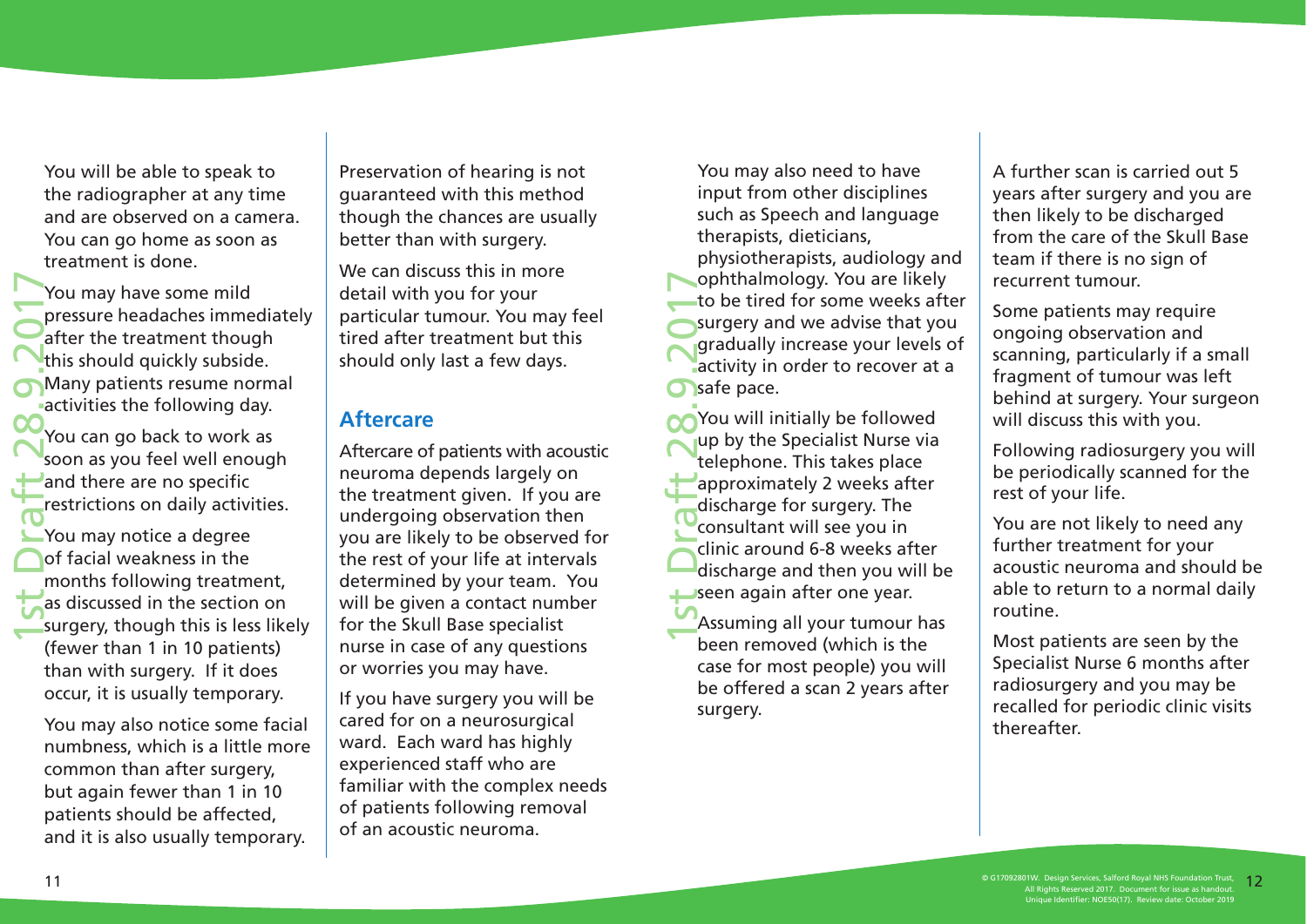You will be able to speak to the radiographer at any time and are observed on a camera. You can go home as soon as treatment is done.

1st Draft 28.9.2017 You may have some mild pressure headaches immediately after the treatment though this should quickly subside. Many patients resume normal activities the following day.

You can go back to work as soon as you feel well enough and there are no specific restrictions on daily activities.

You may notice a degree of facial weakness in the months following treatment, as discussed in the section on surgery, though this is less likely (fewer than 1 in 10 patients) than with surgery. If it does occur, it is usually temporary.

You may also notice some facial numbness, which is a little more common than after surgery, but again fewer than 1 in 10 patients should be affected, and it is also usually temporary.

Preservation of hearing is not guaranteed with this method though the chances are usually better than with surgery.

We can discuss this in more detail with you for your particular tumour. You may feel tired after treatment but this should only last a few days.

#### **Aftercare**

Aftercare of patients with acoustic neuroma depends largely on the treatment given. If you are undergoing observation then you are likely to be observed for the rest of your life at intervals determined by your team. You will be given a contact number for the Skull Base specialist nurse in case of any questions or worries you may have.

If you have surgery you will be cared for on a neurosurgical ward. Each ward has highly experienced staff who are familiar with the complex needs of patients following removal of an acoustic neuroma.

You may also need to have input from other disciplines such as Speech and language therapists, dieticians, physiotherapists, audiology and ophthalmology. You are likely to be tired for some weeks after surgery and we advise that you gradually increase your levels of activity in order to recover at a safe pace.

1st Draft 28.9.2017 You will initially be followed up by the Specialist Nurse via telephone. This takes place approximately 2 weeks after discharge for surgery. The consultant will see you in clinic around 6-8 weeks after discharge and then you will be seen again after one year.

Assuming all your tumour has been removed (which is the case for most people) you will be offered a scan 2 years after surgery.

A further scan is carried out 5 years after surgery and you are then likely to be discharged from the care of the Skull Base team if there is no sign of recurrent tumour.

Some patients may require ongoing observation and scanning, particularly if a small fragment of tumour was left behind at surgery. Your surgeon will discuss this with you.

Following radiosurgery you will be periodically scanned for the rest of your life.

You are not likely to need any further treatment for your acoustic neuroma and should be able to return to a normal daily routine.

Most patients are seen by the Specialist Nurse 6 months after radiosurgery and you may be recalled for periodic clinic visits thereafter.

© G17092801W. Design Services, Salford Royal NHS Foundation Trust, All Rights Reserved 2017. Document for issue as handout. Unique Identifier: NOE50(17). Review date: October 2019  $\degree$  617092801W. Design Services, Salford Royal NHS Foundation Trust,  $\degree$  11 Pichtre Account 2001 NHS Foundation Trust,  $\degree$  12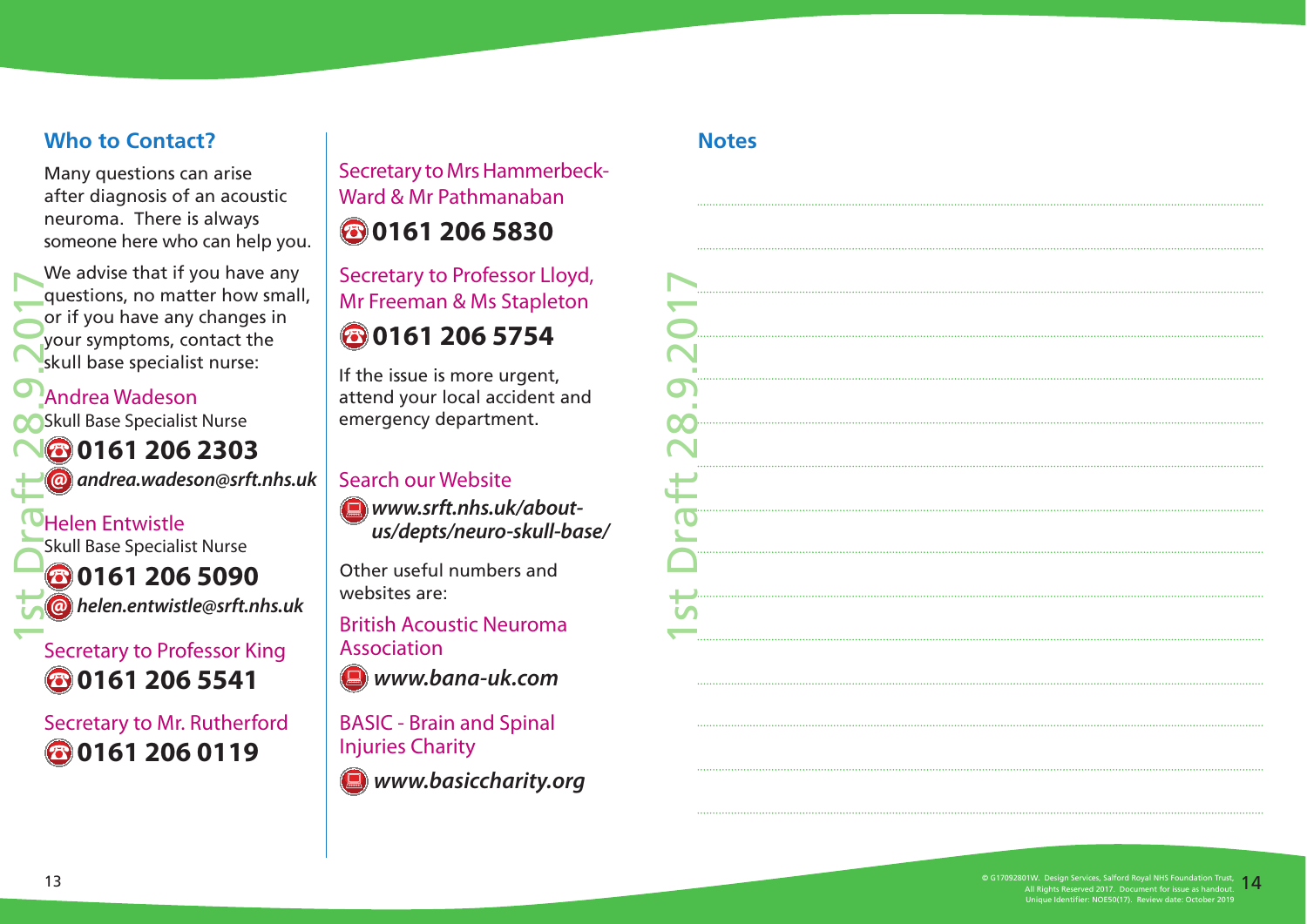### **Who to Contact?**

Many questions can arise after diagnosis of an acoustic neuroma. There is always someone here who can help you.

We advise that if you have any questions, no matter how small, or if you have any changes in your symptoms, contact the skull base specialist nurse:

### Andrea Wadeson

Skull Base Specialist Nurse

**0161 206 2303 andrea.wadeson@srft.nhs.uk**

1st Draft 28.9.2017 Helen Entwistle Skull Base Specialist Nurse **0161 206 5090 helen.entwistle@srft.nhs.uk**

Secretary to Professor King **0161 206 5541**

Secretary to Mr. Rutherford **0161 206 0119**

Secretary to Mrs Hammerbeck-Ward & Mr Pathmanaban

## **0161 206 5830**

Secretary to Professor Lloyd, Mr Freeman & Ms Stapleton

## **0161 206 5754**

If the issue is more urgent, attend your local accident and emergency department.

#### Search our Website

**www.srft.nhs.uk/aboutus/depts/neuro-skull-base/**

Other useful numbers and websites are:

British Acoustic Neuroma Association

**www.bana-uk.com**

BASIC - Brain and Spinal Injuries Charity

**www.basiccharity.org**

#### **Notes**

| П          |
|------------|
|            |
|            |
|            |
| <b>He.</b> |
|            |
|            |
| $\vec{t}$  |
|            |
|            |
|            |
|            |
|            |